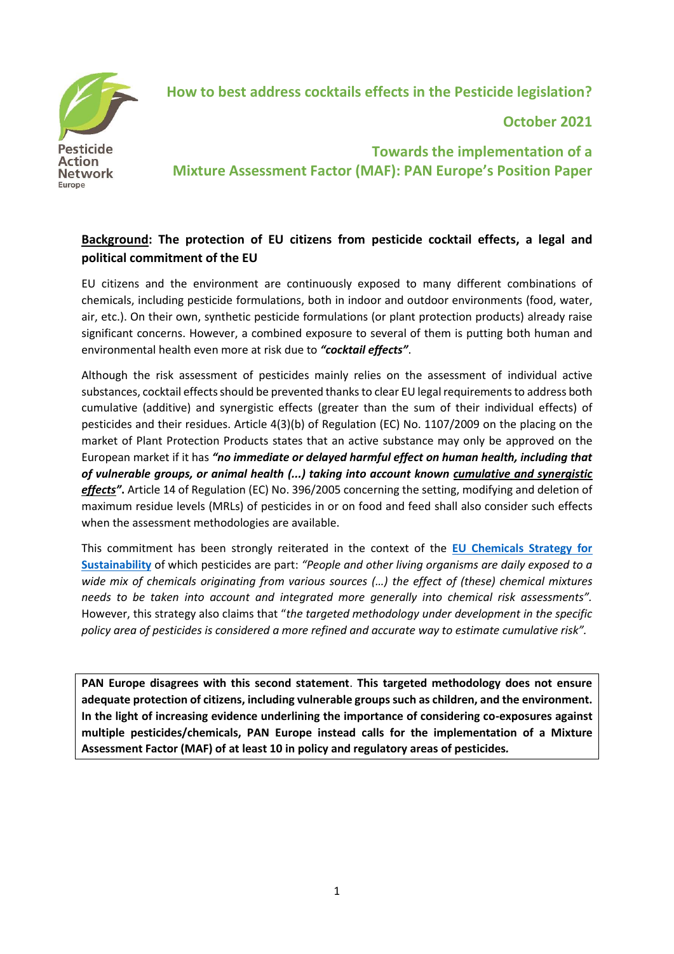

 **How to best address cocktails effects in the Pesticide legislation?**

**October 2021**

**Towards the implementation of a Mixture Assessment Factor (MAF): PAN Europe's Position Paper**

# **Background: The protection of EU citizens from pesticide cocktail effects, a legal and political commitment of the EU**

EU citizens and the environment are continuously exposed to many different combinations of chemicals, including pesticide formulations, both in indoor and outdoor environments (food, water, air, etc.). On their own, synthetic pesticide formulations (or plant protection products) already raise significant concerns. However, a combined exposure to several of them is putting both human and environmental health even more at risk due to *"cocktail effects"*.

Although the risk assessment of pesticides mainly relies on the assessment of individual active substances, cocktail effects should be prevented thanks to clear EU legal requirements to address both cumulative (additive) and synergistic effects (greater than the sum of their individual effects) of pesticides and their residues. Article 4(3)(b) of Regulation (EC) No. 1107/2009 on the placing on the market of Plant Protection Products states that an active substance may only be approved on the European market if it has *"no immediate or delayed harmful effect on human health, including that of vulnerable groups, or animal health (...) taking into account known cumulative and synergistic effects"***.** Article 14 of Regulation (EC) No. 396/2005 concerning the setting, modifying and deletion of maximum residue levels (MRLs) of pesticides in or on food and feed shall also consider such effects when the assessment methodologies are available.

This commitment has been strongly reiterated in the context of the **[EU Chemicals Strategy for](https://ec.europa.eu/environment/pdf/chemicals/2020/10/Strategy.pdf)  [Sustainability](https://ec.europa.eu/environment/pdf/chemicals/2020/10/Strategy.pdf)** of which pesticides are part: *"People and other living organisms are daily exposed to a wide mix of chemicals originating from various sources (…) the effect of (these) chemical mixtures needs to be taken into account and integrated more generally into chemical risk assessments".* However, this strategy also claims that "*the targeted methodology under development in the specific policy area of pesticides is considered a more refined and accurate way to estimate cumulative risk".*

**PAN Europe disagrees with this second statement**. **This targeted methodology does not ensure adequate protection of citizens, including vulnerable groups such as children, and the environment. In the light of increasing evidence underlining the importance of considering co-exposures against multiple pesticides/chemicals, PAN Europe instead calls for the implementation of a Mixture Assessment Factor (MAF) of at least 10 in policy and regulatory areas of pesticides***.*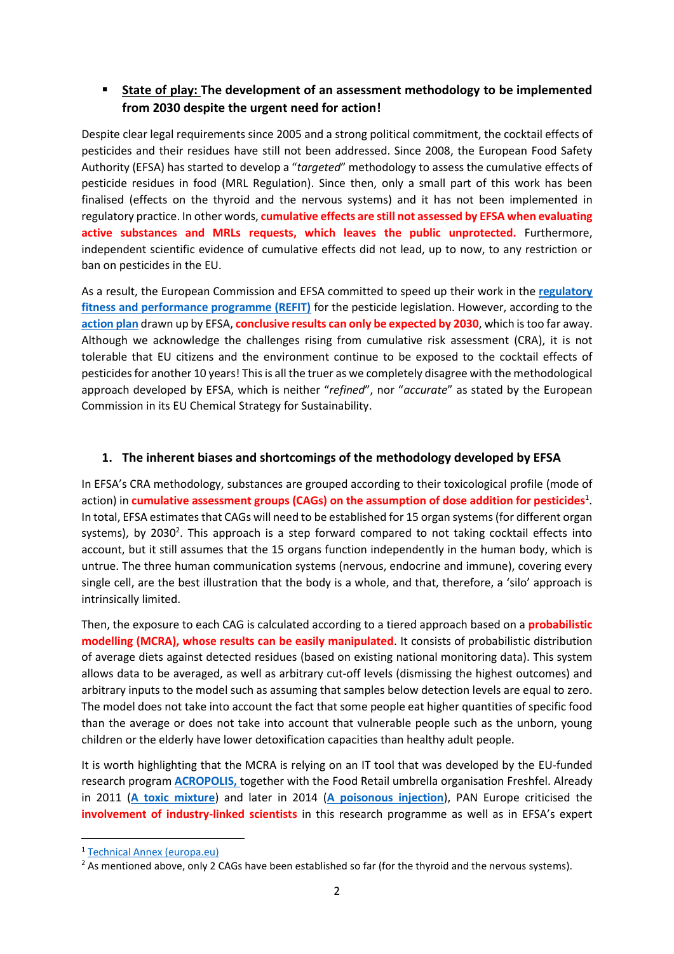## ▪ **State of play: The development of an assessment methodology to be implemented from 2030 despite the urgent need for action!**

Despite clear legal requirements since 2005 and a strong political commitment, the cocktail effects of pesticides and their residues have still not been addressed. Since 2008, the European Food Safety Authority (EFSA) has started to develop a "*targeted*" methodology to assess the cumulative effects of pesticide residues in food (MRL Regulation). Since then, only a small part of this work has been finalised (effects on the thyroid and the nervous systems) and it has not been implemented in regulatory practice. In other words, **cumulative effects are still not assessed by EFSA when evaluating active substances and MRLs requests, which leaves the public unprotected.** Furthermore, independent scientific evidence of cumulative effects did not lead, up to now, to any restriction or ban on pesticides in the EU.

As a result, the European Commission and EFSA committed to speed up their work in the **[regulatory](https://ec.europa.eu/food/plants/pesticides/refit_en)  [fitness and performance programme \(REFIT\)](https://ec.europa.eu/food/plants/pesticides/refit_en)** for the pesticide legislation. However, according to the **[action plan](https://ec.europa.eu/food/system/files/2021-03/pesticides_mrl_cum-risk-ass_action-plan.pdf)** drawn up by EFSA, **conclusive results can only be expected by 2030**, which is too far away. Although we acknowledge the challenges rising from cumulative risk assessment (CRA), it is not tolerable that EU citizens and the environment continue to be exposed to the cocktail effects of pesticides for another 10 years! This is all the truer as we completely disagree with the methodological approach developed by EFSA, which is neither "*refined*", nor "*accurate*" as stated by the European Commission in its EU Chemical Strategy for Sustainability.

### **1. The inherent biases and shortcomings of the methodology developed by EFSA**

In EFSA's CRA methodology, substances are grouped according to their toxicological profile (mode of action) in **cumulative assessment groups (CAGs) on the assumption of dose addition for pesticides**<sup>1</sup> . In total, EFSA estimates that CAGs will need to be established for 15 organ systems (for different organ systems), by 2030<sup>2</sup>. This approach is a step forward compared to not taking cocktail effects into account, but it still assumes that the 15 organs function independently in the human body, which is untrue. The three human communication systems (nervous, endocrine and immune), covering every single cell, are the best illustration that the body is a whole, and that, therefore, a 'silo' approach is intrinsically limited.

Then, the exposure to each CAG is calculated according to a tiered approach based on a **probabilistic modelling (MCRA), whose results can be easily manipulated**. It consists of probabilistic distribution of average diets against detected residues (based on existing national monitoring data). This system allows data to be averaged, as well as arbitrary cut-off levels (dismissing the highest outcomes) and arbitrary inputs to the model such as assuming that samples below detection levels are equal to zero. The model does not take into account the fact that some people eat higher quantities of specific food than the average or does not take into account that vulnerable people such as the unborn, young children or the elderly have lower detoxification capacities than healthy adult people.

It is worth highlighting that the MCRA is relying on an IT tool that was developed by the EU-funded research program **[ACROPOLIS,](https://rivm.archiefweb.eu/?subsite=acropoliseu#archive)** together with the Food Retail umbrella organisation Freshfel. Already in 2011 (**[A toxic mixture](https://www.pan-europe.info/old/Resources/Reports/PANE%20-%202011%20-%20A%20Toxic%20Mixture%20-%20Industry%20bias%20found%20in%20EFSA%20working%20group%20on%20risk%20assessment%20for%20toxic%20chemicals..pdf)**) and later in 2014 (**[A poisonous injection](https://www.pan-europe.info/old/Resources/Reports/PANE%20-%202014%20-%20A%20Poisonous%20injection.pdf)**), PAN Europe criticised the **involvement of industry-linked scientists** in this research programme as well as in EFSA's expert

<sup>1</sup> [Technical Annex \(europa.eu\)](https://ec.europa.eu/food/plants/pesticides/maximum-residue-levels/cumulative-risk-assessment/technical-annex_en)

<sup>&</sup>lt;sup>2</sup> As mentioned above, only 2 CAGs have been established so far (for the thyroid and the nervous systems).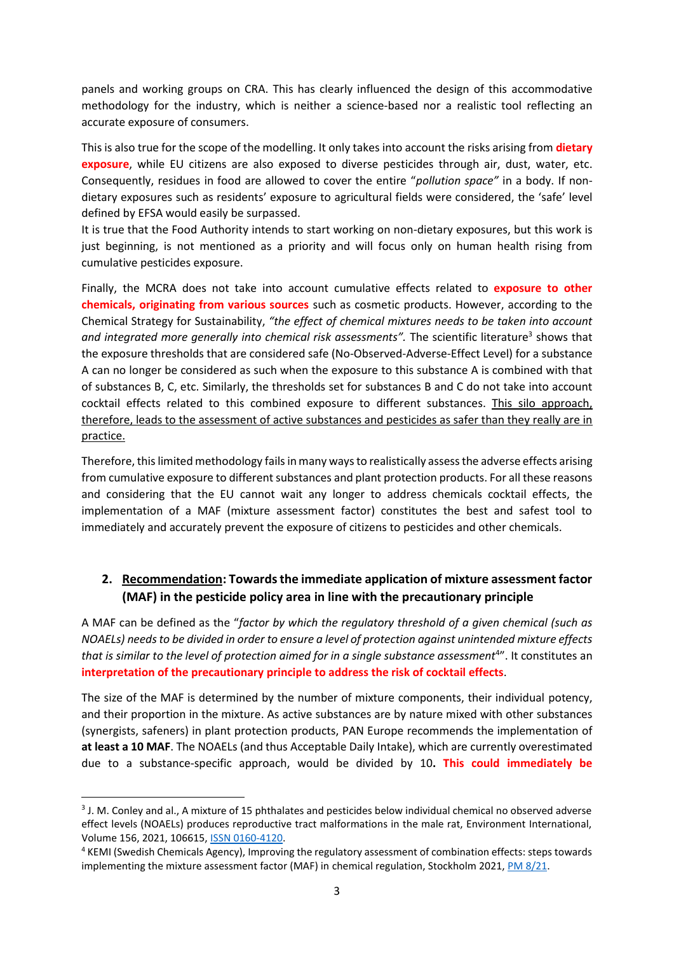panels and working groups on CRA. This has clearly influenced the design of this accommodative methodology for the industry, which is neither a science-based nor a realistic tool reflecting an accurate exposure of consumers.

This is also true for the scope of the modelling. It only takes into account the risks arising from **dietary exposure**, while EU citizens are also exposed to diverse pesticides through air, dust, water, etc. Consequently, residues in food are allowed to cover the entire "*pollution space"* in a body. If nondietary exposures such as residents' exposure to agricultural fields were considered, the 'safe' level defined by EFSA would easily be surpassed.

It is true that the Food Authority intends to start working on non-dietary exposures, but this work is just beginning, is not mentioned as a priority and will focus only on human health rising from cumulative pesticides exposure.

Finally, the MCRA does not take into account cumulative effects related to **exposure to other chemicals, originating from various sources** such as cosmetic products. However, according to the Chemical Strategy for Sustainability, *"the effect of chemical mixtures needs to be taken into account*  and integrated more generally into chemical risk assessments". The scientific literature<sup>3</sup> shows that the exposure thresholds that are considered safe (No-Observed-Adverse-Effect Level) for a substance A can no longer be considered as such when the exposure to this substance A is combined with that of substances B, C, etc. Similarly, the thresholds set for substances B and C do not take into account cocktail effects related to this combined exposure to different substances. This silo approach, therefore, leads to the assessment of active substances and pesticides as safer than they really are in practice.

Therefore, thislimited methodology fails in many ways to realistically assess the adverse effects arising from cumulative exposure to different substances and plant protection products. For all these reasons and considering that the EU cannot wait any longer to address chemicals cocktail effects, the implementation of a MAF (mixture assessment factor) constitutes the best and safest tool to immediately and accurately prevent the exposure of citizens to pesticides and other chemicals.

### **2. Recommendation: Towards the immediate application of mixture assessment factor (MAF) in the pesticide policy area in line with the precautionary principle**

A MAF can be defined as the "*factor by which the regulatory threshold of a given chemical (such as NOAELs) needs to be divided in order to ensure a level of protection against unintended mixture effects*  that is similar to the level of protection aimed for in a single substance assessment<sup>4"</sup>. It constitutes an **interpretation of the precautionary principle to address the risk of cocktail effects**.

The size of the MAF is determined by the number of mixture components, their individual potency, and their proportion in the mixture. As active substances are by nature mixed with other substances (synergists, safeners) in plant protection products, PAN Europe recommends the implementation of **at least a 10 MAF**. The NOAELs (and thus Acceptable Daily Intake), which are currently overestimated due to a substance-specific approach, would be divided by 10**. This could immediately be** 

<sup>&</sup>lt;sup>3</sup> J. M. Conley and al., A mixture of 15 phthalates and pesticides below individual chemical no observed adverse effect levels (NOAELs) produces reproductive tract malformations in the male rat, Environment International, Volume 156, 2021, 106615, [ISSN 0160-4120.](https://www.sciencedirect.com/science/article/pii/S0160412021002403)

<sup>4</sup> KEMI (Swedish Chemicals Agency), Improving the regulatory assessment of combination effects: steps towards implementing the mixture assessment factor (MAF) in chemical regulation, Stockholm 2021[, PM 8/21.](https://www.kemi.se/en/publications/pms/2021/pm-8-21-improving-the-regulatory-assessment-of-combination-effects-steps-towards-implementing-the-mixture-assessment-factor-maf-in-chemical-regulation)